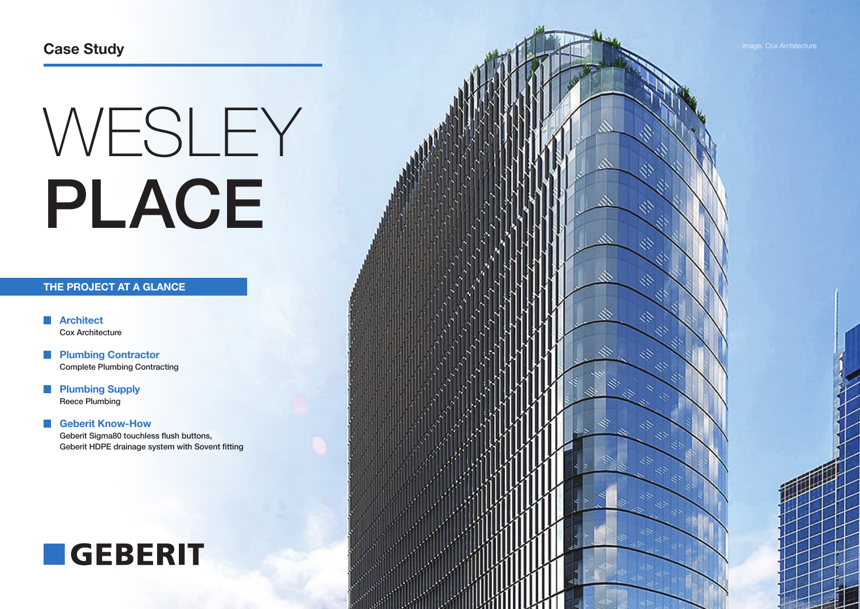# WESLEY PLACE

# **THE PROJECT AT A GLANCE**

**Architect** Cox Architecture

**Plumbing Contractor** Complete Plumbing Contracting

**Plumbing Supply** Reece Plumbing

## **Geberit Know-How**  Geberit Sigma80 touchless flush buttons, Geberit HDPE drainage system with Sovent fitting